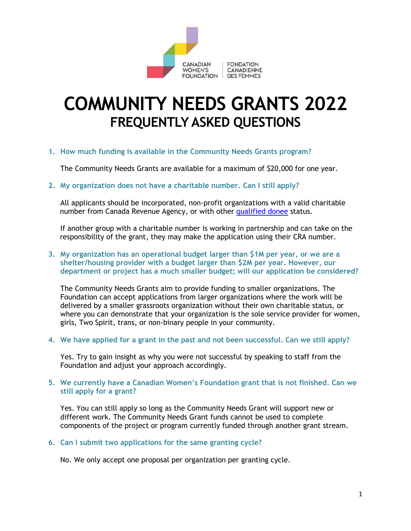

# **COMMUNITY NEEDS GRANTS 2022 FREQUENTLY ASKED QUESTIONS**

**1. How much funding is available in the Community Needs Grants program?** 

The Community Needs Grants are available for a maximum of \$20,000 for one year.

**2. My organization does not have a charitable number. Can I still apply?** 

All applicants should be incorporated, non-profit organizations with a valid charitable number from Canada Revenue Agency, or with other [qualified donee](https://www.canada.ca/en/revenue-agency/services/charities-giving/list-charities/list-charities-other-qualified-donees.html) status.

If another group with a charitable number is working in partnership and can take on the responsibility of the grant, they may make the application using their CRA number.

**3. My organization has an operational budget larger than \$1M per year, or we are a shelter/housing provider with a budget larger than \$2M per year. However, our department or project has a much smaller budget; will our application be considered?** 

The Community Needs Grants aim to provide funding to smaller organizations. The Foundation can accept applications from larger organizations where the work will be delivered by a smaller grassroots organization without their own charitable status, or where you can demonstrate that your organization is the sole service provider for women, girls, Two Spirit, trans, or non-binary people in your community.

**4. We have applied for a grant in the past and not been successful. Can we still apply?** 

Yes. Try to gain insight as why you were not successful by speaking to staff from the Foundation and adjust your approach accordingly.

## **5. We currently have a Canadian Women's Foundation grant that is not finished. Can we still apply for a grant?**

Yes. You can still apply so long as the Community Needs Grant will support new or different work. The Community Needs Grant funds cannot be used to complete components of the project or program currently funded through another grant stream.

**6. Can I submit two applications for the same granting cycle?** 

No. We only accept one proposal per organization per granting cycle.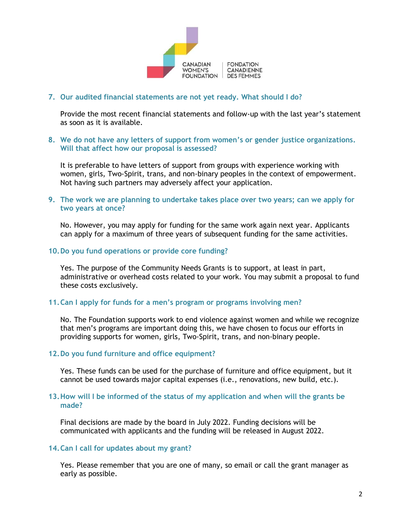

# **7. Our audited financial statements are not yet ready. What should I do?**

Provide the most recent financial statements and follow-up with the last year's statement as soon as it is available.

### **8. We do not have any letters of support from women's or gender justice organizations. Will that affect how our proposal is assessed?**

It is preferable to have letters of support from groups with experience working with women, girls, Two-Spirit, trans, and non-binary peoples in the context of empowerment. Not having such partners may adversely affect your application.

**9. The work we are planning to undertake takes place over two years; can we apply for two years at once?** 

No. However, you may apply for funding for the same work again next year. Applicants can apply for a maximum of three years of subsequent funding for the same activities.

#### **10.Do you fund operations or provide core funding?**

Yes. The purpose of the Community Needs Grants is to support, at least in part, administrative or overhead costs related to your work. You may submit a proposal to fund these costs exclusively.

#### **11.Can I apply for funds for a men's program or programs involving men?**

No. The Foundation supports work to end violence against women and while we recognize that men's programs are important doing this, we have chosen to focus our efforts in providing supports for women, girls, Two-Spirit, trans, and non-binary people.

#### **12.Do you fund furniture and office equipment?**

Yes. These funds can be used for the purchase of furniture and office equipment, but it cannot be used towards major capital expenses (i.e., renovations, new build, etc.).

#### **13.How will I be informed of the status of my application and when will the grants be made?**

Final decisions are made by the board in July 2022. Funding decisions will be communicated with applicants and the funding will be released in August 2022.

#### **14.Can I call for updates about my grant?**

Yes. Please remember that you are one of many, so email or call the grant manager as early as possible.